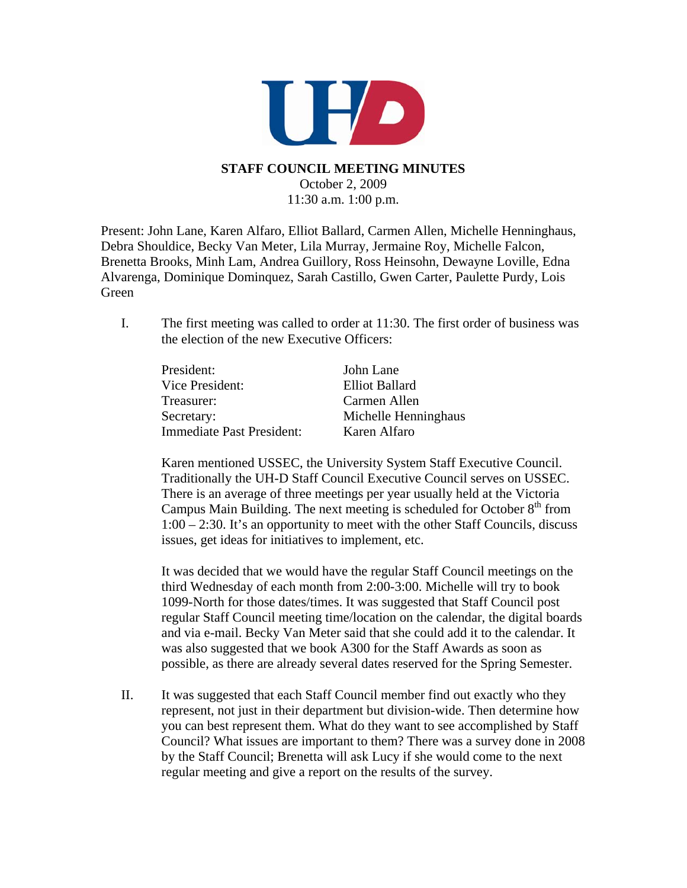

## **STAFF COUNCIL MEETING MINUTES**

October 2, 2009 11:30 a.m. 1:00 p.m.

Present: John Lane, Karen Alfaro, Elliot Ballard, Carmen Allen, Michelle Henninghaus, Debra Shouldice, Becky Van Meter, Lila Murray, Jermaine Roy, Michelle Falcon, Brenetta Brooks, Minh Lam, Andrea Guillory, Ross Heinsohn, Dewayne Loville, Edna Alvarenga, Dominique Dominquez, Sarah Castillo, Gwen Carter, Paulette Purdy, Lois Green

I. The first meeting was called to order at 11:30. The first order of business was the election of the new Executive Officers:

| President:                | John Lane            |
|---------------------------|----------------------|
| Vice President:           | Elliot Ballard       |
| Treasurer:                | Carmen Allen         |
| Secretary:                | Michelle Henninghaus |
| Immediate Past President: | Karen Alfaro         |

Karen mentioned USSEC, the University System Staff Executive Council. Traditionally the UH-D Staff Council Executive Council serves on USSEC. There is an average of three meetings per year usually held at the Victoria Campus Main Building. The next meeting is scheduled for October  $8<sup>th</sup>$  from 1:00 – 2:30. It's an opportunity to meet with the other Staff Councils, discuss issues, get ideas for initiatives to implement, etc.

It was decided that we would have the regular Staff Council meetings on the third Wednesday of each month from 2:00-3:00. Michelle will try to book 1099-North for those dates/times. It was suggested that Staff Council post regular Staff Council meeting time/location on the calendar, the digital boards and via e-mail. Becky Van Meter said that she could add it to the calendar. It was also suggested that we book A300 for the Staff Awards as soon as possible, as there are already several dates reserved for the Spring Semester.

II. It was suggested that each Staff Council member find out exactly who they represent, not just in their department but division-wide. Then determine how you can best represent them. What do they want to see accomplished by Staff Council? What issues are important to them? There was a survey done in 2008 by the Staff Council; Brenetta will ask Lucy if she would come to the next regular meeting and give a report on the results of the survey.